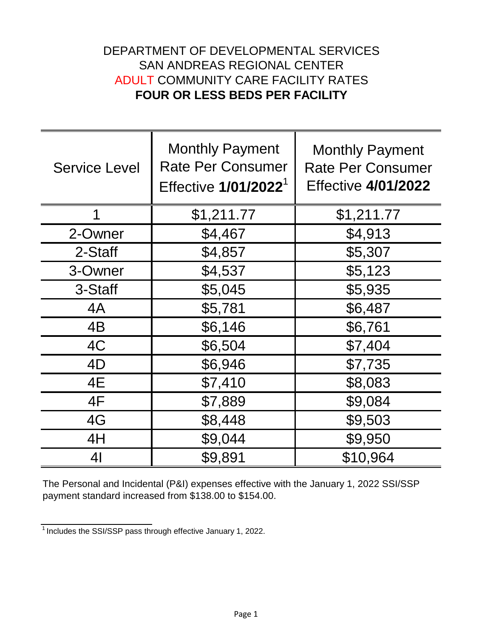## **FOUR OR LESS BEDS PER FACILITY** ADULT COMMUNITY CARE FACILITY RATES DEPARTMENT OF DEVELOPMENTAL SERVICES SAN ANDREAS REGIONAL CENTER

| <b>Service Level</b> | <b>Monthly Payment</b><br><b>Rate Per Consumer</b><br>Effective 1/01/2022 <sup>1</sup> | <b>Monthly Payment</b><br><b>Rate Per Consumer</b><br><b>Effective 4/01/2022</b> |
|----------------------|----------------------------------------------------------------------------------------|----------------------------------------------------------------------------------|
| 1                    | \$1,211.77                                                                             | \$1,211.77                                                                       |
| 2-Owner              | \$4,467                                                                                | \$4,913                                                                          |
| 2-Staff              | \$4,857                                                                                | \$5,307                                                                          |
| 3-Owner              | \$4,537                                                                                | \$5,123                                                                          |
| 3-Staff              | \$5,045                                                                                | \$5,935                                                                          |
| 4A                   | \$5,781                                                                                | \$6,487                                                                          |
| 4B                   | \$6,146                                                                                | \$6,761                                                                          |
| 4C                   | \$6,504                                                                                | \$7,404                                                                          |
| 4D                   | \$6,946                                                                                | \$7,735                                                                          |
| 4E                   | \$7,410                                                                                | \$8,083                                                                          |
| 4F                   | \$7,889                                                                                | \$9,084                                                                          |
| 4G                   | \$8,448                                                                                | \$9,503                                                                          |
| 4H                   | \$9,044                                                                                | \$9,950                                                                          |
| 4 <sub>l</sub>       | \$9,891                                                                                | \$10,964                                                                         |

The Personal and Incidental (P&I) expenses effective with the January 1, 2022 SSI/SSP payment standard increased from \$138.00 to \$154.00.

 $1$ Includes the SSI/SSP pass through effective January 1, 2022.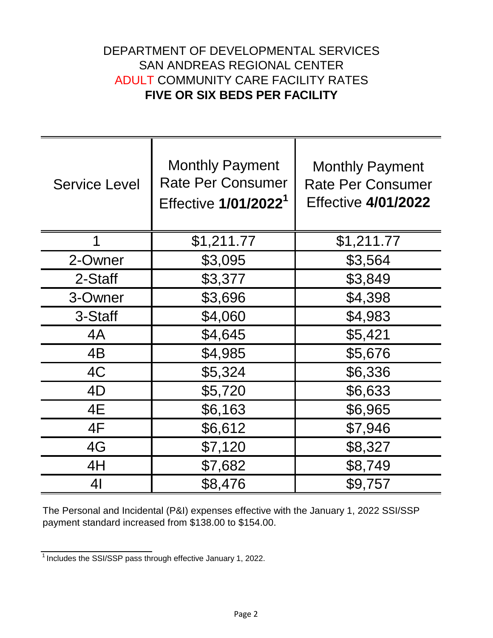## DEPARTMENT OF DEVELOPMENTAL SERVICES **FIVE OR SIX BEDS PER FACILITY** ADULT COMMUNITY CARE FACILITY RATES SAN ANDREAS REGIONAL CENTER

| <b>Service Level</b> | <b>Monthly Payment</b><br><b>Rate Per Consumer</b><br>Effective 1/01/2022 <sup>1</sup> | <b>Monthly Payment</b><br><b>Rate Per Consumer</b><br><b>Effective 4/01/2022</b> |
|----------------------|----------------------------------------------------------------------------------------|----------------------------------------------------------------------------------|
| 1                    | \$1,211.77                                                                             | \$1,211.77                                                                       |
| 2-Owner              | \$3,095                                                                                | \$3,564                                                                          |
| 2-Staff              | \$3,377                                                                                | \$3,849                                                                          |
| 3-Owner              | \$3,696                                                                                | \$4,398                                                                          |
| 3-Staff              | \$4,060                                                                                | \$4,983                                                                          |
| 4A                   | \$4,645                                                                                | \$5,421                                                                          |
| 4B                   | \$4,985                                                                                | \$5,676                                                                          |
| 4C                   | \$5,324                                                                                | \$6,336                                                                          |
| 4D                   | \$5,720                                                                                | \$6,633                                                                          |
| 4E                   | \$6,163                                                                                | \$6,965                                                                          |
| 4F                   | \$6,612                                                                                | \$7,946                                                                          |
| 4G                   | \$7,120                                                                                | \$8,327                                                                          |
| 4H                   | \$7,682                                                                                | \$8,749                                                                          |
| 41                   | \$8,476                                                                                | \$9,757                                                                          |

The Personal and Incidental (P&I) expenses effective with the January 1, 2022 SSI/SSP payment standard increased from \$138.00 to \$154.00.

 $\frac{1}{1}$  Includes the SSI/SSP pass through effective January 1, 2022.